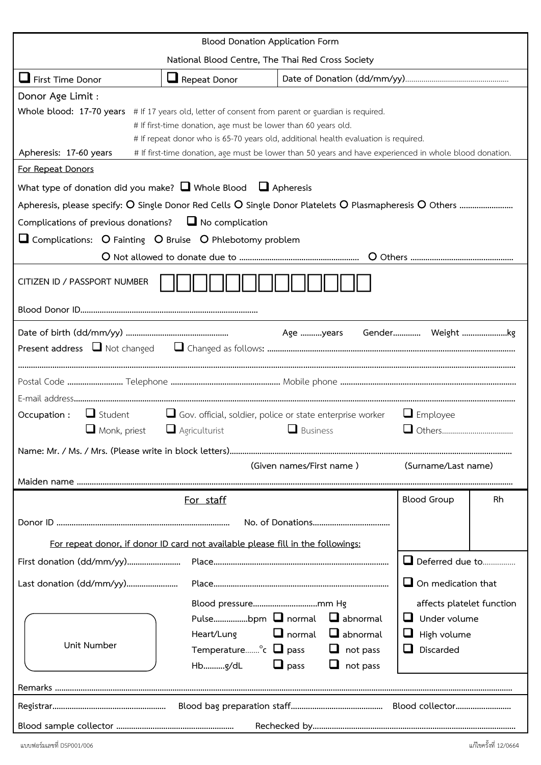| <b>Blood Donation Application Form</b>                                                                                                                                                                                                                                           |                                                                                 |                                                                                                                                                                 |                                                                                     |    |  |  |  |  |  |  |
|----------------------------------------------------------------------------------------------------------------------------------------------------------------------------------------------------------------------------------------------------------------------------------|---------------------------------------------------------------------------------|-----------------------------------------------------------------------------------------------------------------------------------------------------------------|-------------------------------------------------------------------------------------|----|--|--|--|--|--|--|
| National Blood Centre, The Thai Red Cross Society                                                                                                                                                                                                                                |                                                                                 |                                                                                                                                                                 |                                                                                     |    |  |  |  |  |  |  |
| First Time Donor                                                                                                                                                                                                                                                                 | Repeat Donor                                                                    |                                                                                                                                                                 |                                                                                     |    |  |  |  |  |  |  |
| Donor Age Limit :<br>Whole blood: 17-70 years # If 17 years old, letter of consent from parent or guardian is required.<br># If first-time donation, age must be lower than 60 years old.<br># If repeat donor who is 65-70 years old, additional health evaluation is required. |                                                                                 |                                                                                                                                                                 |                                                                                     |    |  |  |  |  |  |  |
| Apheresis: 17-60 years<br># If first-time donation, age must be lower than 50 years and have experienced in whole blood donation.                                                                                                                                                |                                                                                 |                                                                                                                                                                 |                                                                                     |    |  |  |  |  |  |  |
| For Repeat Donors<br>What type of donation did you make? $\Box$ Whole Blood $\Box$ Apheresis                                                                                                                                                                                     |                                                                                 |                                                                                                                                                                 |                                                                                     |    |  |  |  |  |  |  |
| Complications of previous donations? $\Box$ No complication                                                                                                                                                                                                                      |                                                                                 |                                                                                                                                                                 |                                                                                     |    |  |  |  |  |  |  |
| Complications: O Fainting O Bruise O Phlebotomy problem                                                                                                                                                                                                                          |                                                                                 |                                                                                                                                                                 |                                                                                     |    |  |  |  |  |  |  |
|                                                                                                                                                                                                                                                                                  |                                                                                 |                                                                                                                                                                 |                                                                                     |    |  |  |  |  |  |  |
| CITIZEN ID / PASSPORT NUMBER                                                                                                                                                                                                                                                     |                                                                                 |                                                                                                                                                                 |                                                                                     |    |  |  |  |  |  |  |
|                                                                                                                                                                                                                                                                                  |                                                                                 |                                                                                                                                                                 |                                                                                     |    |  |  |  |  |  |  |
|                                                                                                                                                                                                                                                                                  |                                                                                 |                                                                                                                                                                 |                                                                                     |    |  |  |  |  |  |  |
|                                                                                                                                                                                                                                                                                  |                                                                                 |                                                                                                                                                                 |                                                                                     |    |  |  |  |  |  |  |
|                                                                                                                                                                                                                                                                                  |                                                                                 |                                                                                                                                                                 |                                                                                     |    |  |  |  |  |  |  |
| Gov. official, soldier, police or state enterprise worker<br>Occupation :<br>$\Box$ Student<br>$\Box$ Employee<br>$\Box$ Agriculturist<br>$\Box$ Business<br>$\Box$ Monk, priest                                                                                                 |                                                                                 |                                                                                                                                                                 |                                                                                     |    |  |  |  |  |  |  |
|                                                                                                                                                                                                                                                                                  | (Given names/First name)<br>(Surname/Last name)                                 |                                                                                                                                                                 |                                                                                     |    |  |  |  |  |  |  |
|                                                                                                                                                                                                                                                                                  |                                                                                 |                                                                                                                                                                 |                                                                                     |    |  |  |  |  |  |  |
|                                                                                                                                                                                                                                                                                  | For staff                                                                       |                                                                                                                                                                 | <b>Blood Group</b>                                                                  | Rh |  |  |  |  |  |  |
|                                                                                                                                                                                                                                                                                  |                                                                                 |                                                                                                                                                                 |                                                                                     |    |  |  |  |  |  |  |
|                                                                                                                                                                                                                                                                                  | For repeat donor, if donor ID card not available please fill in the followings: |                                                                                                                                                                 |                                                                                     |    |  |  |  |  |  |  |
|                                                                                                                                                                                                                                                                                  |                                                                                 |                                                                                                                                                                 | Deferred due to                                                                     |    |  |  |  |  |  |  |
| Last donation (dd/mm/yy)                                                                                                                                                                                                                                                         | $\Box$ On medication that                                                       |                                                                                                                                                                 |                                                                                     |    |  |  |  |  |  |  |
| Unit Number                                                                                                                                                                                                                                                                      | Heart/Lung<br>Hbg/dL                                                            | Pulsebpm $\Box$ normal $\Box$ abnormal<br>$\Box$ normal $\Box$ abnormal<br>Temperature $\circ$ $\Box$ pass $\Box$ not pass<br>$\Box$ pass<br>$\Box$<br>not pass | affects platelet function<br>$\Box$ Under volume<br>High volume<br>$\Box$ Discarded |    |  |  |  |  |  |  |
|                                                                                                                                                                                                                                                                                  |                                                                                 |                                                                                                                                                                 |                                                                                     |    |  |  |  |  |  |  |
|                                                                                                                                                                                                                                                                                  |                                                                                 |                                                                                                                                                                 |                                                                                     |    |  |  |  |  |  |  |
|                                                                                                                                                                                                                                                                                  |                                                                                 |                                                                                                                                                                 |                                                                                     |    |  |  |  |  |  |  |